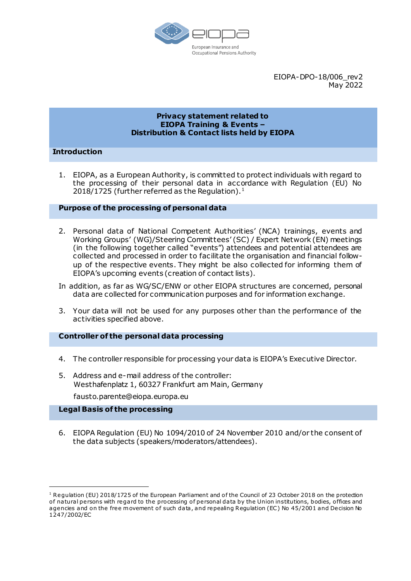

EIOPA-DPO-18/006\_rev2 May 2022

#### **Privacy statement related to EIOPA Training & Events – Distribution & Contact lists held by EIOPA**

# **Introduction**

1. EIOPA, as a European Authority, is committed to protect individuals with regard to the processing of their personal data in accordance with Regulation (EU) No 2018/1725 (further referred as the Regulation). $<sup>1</sup>$ </sup>

## **Purpose of the processing of personal data**

- 2. Personal data of National Competent Authorities' (NCA) trainings, events and Working Groups' (WG)/Steering Committees' (SC) / Expert Network (EN) meetings (in the following together called "events") attendees and potential attendees are collected and processed in order to facilitate the organisation and financial followup of the respective events. They might be also collected for informing them of EIOPA's upcoming events (creation of contact lists).
- In addition, as far as WG/SC/ENW or other EIOPA structures are concerned, personal data are collected for communication purposes and for information exchange.
- 3. Your data will not be used for any purposes other than the performance of the activities specified above.

#### **Controller of the personal data processing**

- 4. The controller responsible for processing your data is EIOPA's Executive Director.
- 5. Address and e-mail address of the controller: Westhafenplatz 1, 60327 Frankfurt am Main, Germany

fausto.parente@eiopa.europa.eu

#### **Legal Basis of the processing**

1

6. EIOPA Regulation (EU) No 1094/2010 of 24 November 2010 and/or the consent of the data subjects (speakers/moderators/attendees).

<sup>&</sup>lt;sup>1</sup> Regulation (EU) 2018/1725 of the European Parliament and of the Council of 23 October 2018 on the protection of natural persons with regard to the processing of personal data by the Union institutions, bodies, offices and agencies and on the free movement of such data, and repealing Regulation (EC) No 45/2001 and Decision No 1247/2002/EC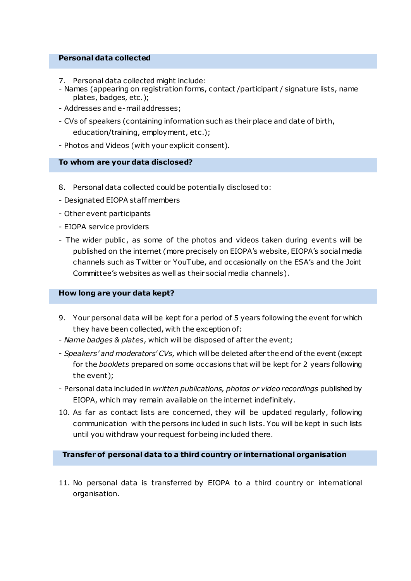#### **Personal data collected**

- 7. Personal data collected might include:
- Names (appearing on registration forms, contact /participant / signature lists, name plates, badges, etc.);
- Addresses and e-mail addresses;
- CVs of speakers (containing information such as their place and date of birth, education/training, employment, etc.);
- Photos and Videos (with your explicit consent).

## **To whom are your data disclosed?**

- 8. Personal data collected could be potentially disclosed to:
- Designated EIOPA staff members
- Other event participants
- EIOPA service providers
- The wider public, as some of the photos and videos taken during events will be published on the internet (more precisely on EIOPA's website, EIOPA's social media channels such as Twitter or YouTube, and occasionally on the ESA's and the Joint Committee's websites as well as their social media channels).

### **How long are your data kept?**

- 9. Your personal data will be kept for a period of 5 years following the event for which they have been collected, with the exception of:
- *Name badges & plates*, which will be disposed of after the event;
- *Speakers' and moderators' CVs,* which will be deleted after the end of the event (except for the *booklets* prepared on some occasions that will be kept for 2 years following the event);
- Personal data included in *written publications, photos or video recordings* published by EIOPA, which may remain available on the internet indefinitely.
- 10. As far as contact lists are concerned, they will be updated regularly, following communication with the persons included in such lists. You will be kept in such lists until you withdraw your request for being included there.

**Transfer of personal data to a third country or international organisation** 

11. No personal data is transferred by EIOPA to a third country or international organisation.